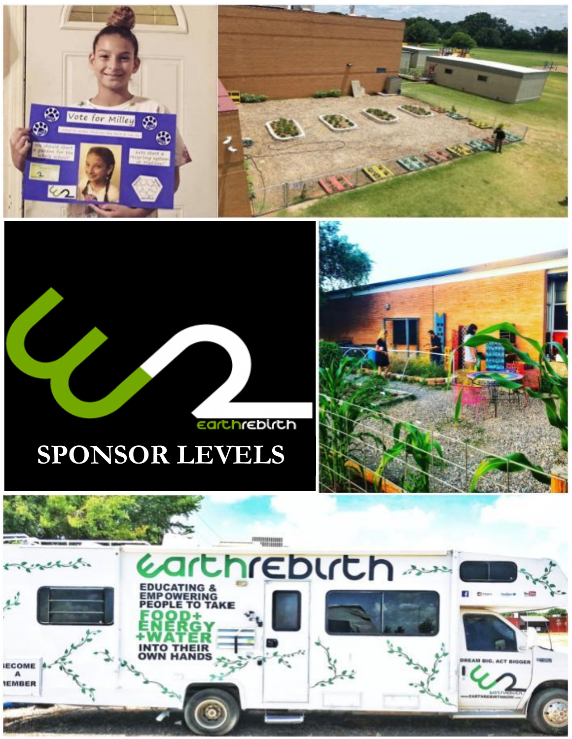

# **Earthrebirth**





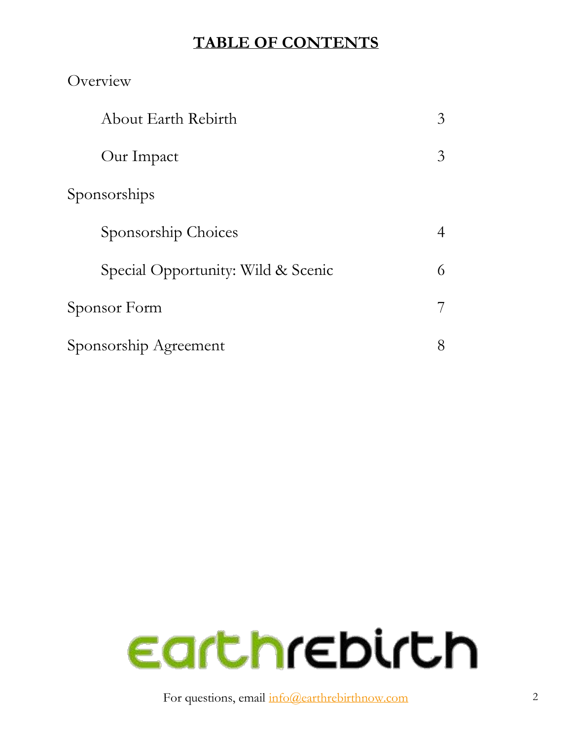#### **TABLE OF CONTENTS**

| Overview                           |                |
|------------------------------------|----------------|
| About Earth Rebirth                | 3              |
| Our Impact                         | 3              |
| Sponsorships                       |                |
| Sponsorship Choices                | $\overline{4}$ |
| Special Opportunity: Wild & Scenic | 6              |
| Sponsor Form                       | 7              |
| Sponsorship Agreement              | 8              |



For questions, email  $info@earthrebirthnow.com$  2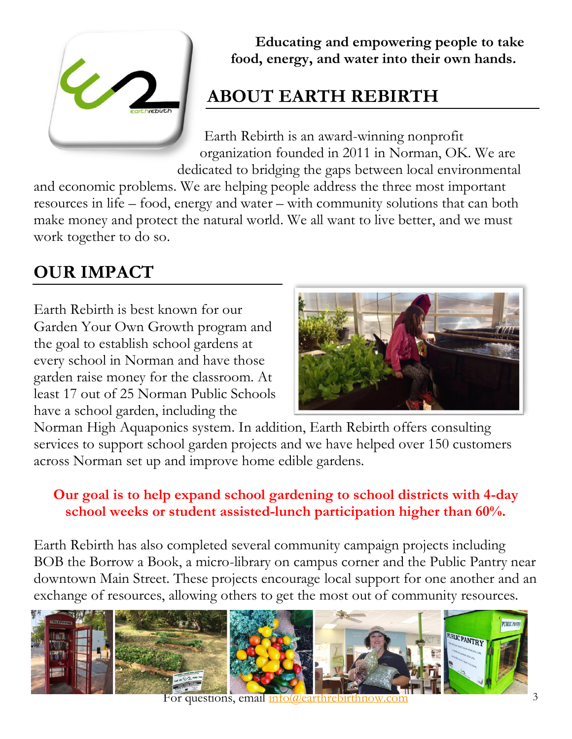

**Educating and empowering people to take food, energy, and water into their own hands.**

# **ABOUT EARTH REBIRTH**

Earth Rebirth is an award-winning nonprofit organization founded in 2011 in Norman, OK. We are dedicated to bridging the gaps between local environmental

and economic problems. We are helping people address the three most important resources in life – food, energy and water – with community solutions that can both make money and protect the natural world. We all want to live better, and we must work together to do so.

# **OUR IMPACT**

Earth Rebirth is best known for our Garden Your Own Growth program and the goal to establish school gardens at every school in Norman and have those garden raise money for the classroom. At least 17 out of 25 Norman Public Schools have a school garden, including the



Norman High Aquaponics system. In addition, Earth Rebirth offers consulting services to support school garden projects and we have helped over 150 customers across Norman set up and improve home edible gardens.

#### **Our goal is to help expand school gardening to school districts with 4-day school weeks or student assisted-lunch participation higher than 60%.**

Earth Rebirth has also completed several community campaign projects including BOB the Borrow a Book, a micro-library on campus corner and the Public Pantry near downtown Main Street. These projects encourage local support for one another and an exchange of resources, allowing others to get the most out of community resources.

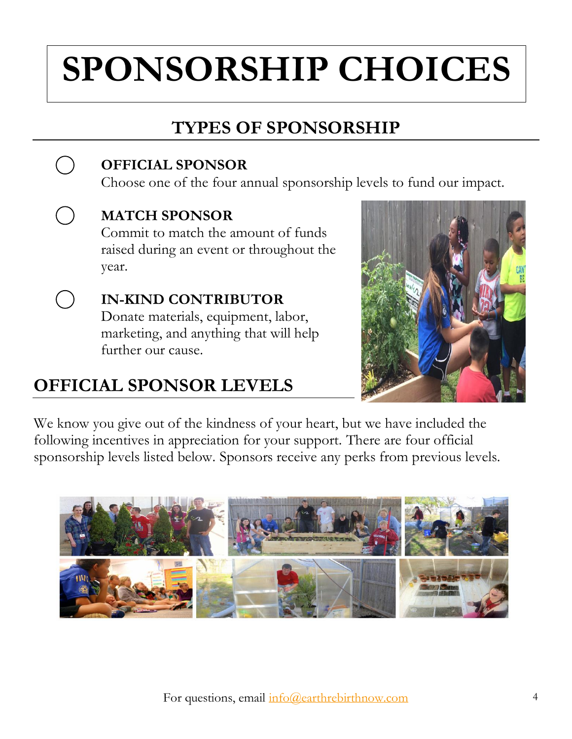# **SPONSORSHIP CHOICES**

# **TYPES OF SPONSORSHIP**

#### **OFFICIAL SPONSOR**

Choose one of the four annual sponsorship levels to fund our impact.



 $($ )

 $($  )

#### **MATCH SPONSOR**

Commit to match the amount of funds raised during an event or throughout the year.

**IN-KIND CONTRIBUTOR** Donate materials, equipment, labor, marketing, and anything that will help further our cause.

## **OFFICIAL SPONSOR LEVELS**



We know you give out of the kindness of your heart, but we have included the following incentives in appreciation for your support. There are four official sponsorship levels listed below. Sponsors receive any perks from previous levels.

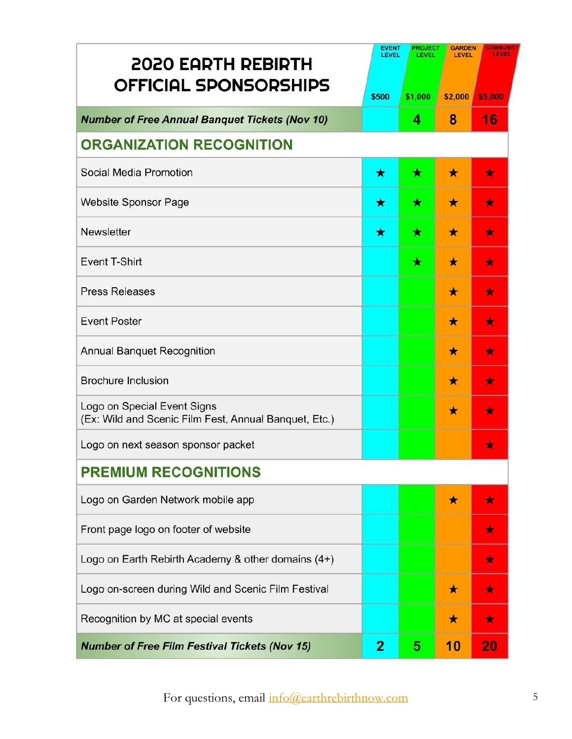| <b>2020 EARTH REBIRTH</b>                                                            |                | <b>EVENT</b><br><b>PROJECT</b><br><b>GARDEN</b><br><b>COMMUNI</b><br><b>LEVEL</b><br>LEVEL<br><b>LEVEL</b><br><b>LEVEL</b> |         |           |  |  |
|--------------------------------------------------------------------------------------|----------------|----------------------------------------------------------------------------------------------------------------------------|---------|-----------|--|--|
| <b>OFFICIAL SPONSORSHIPS</b>                                                         | \$500          | \$1,000                                                                                                                    | \$2,000 | \$5,000   |  |  |
| <b>Number of Free Annual Banquet Tickets (Nov 10)</b>                                |                | 4                                                                                                                          | 8       | 16        |  |  |
| <b>ORGANIZATION RECOGNITION</b>                                                      |                |                                                                                                                            |         |           |  |  |
| Social Media Promotion                                                               | ★              | ★                                                                                                                          | $\star$ | $\bullet$ |  |  |
| <b>Website Sponsor Page</b>                                                          | ★              | ★                                                                                                                          | ★       | $\star$   |  |  |
| Newsletter                                                                           | ★              | ★                                                                                                                          | $\star$ | $\bullet$ |  |  |
| <b>Event T-Shirt</b>                                                                 |                | ★                                                                                                                          | ★       | 大         |  |  |
| <b>Press Releases</b>                                                                |                |                                                                                                                            | ★       | $\star$   |  |  |
| <b>Event Poster</b>                                                                  |                |                                                                                                                            | ★       | $\star$   |  |  |
| <b>Annual Banquet Recognition</b>                                                    |                |                                                                                                                            | ★       | 肯         |  |  |
| <b>Brochure Inclusion</b>                                                            |                |                                                                                                                            | ★       | ×         |  |  |
| Logo on Special Event Signs<br>(Ex: Wild and Scenic Film Fest, Annual Banquet, Etc.) |                |                                                                                                                            | ★       | $\star$   |  |  |
| Logo on next season sponsor packet                                                   |                |                                                                                                                            |         |           |  |  |
| <b>PREMIUM RECOGNITIONS</b>                                                          |                |                                                                                                                            |         |           |  |  |
| Logo on Garden Network mobile app                                                    |                |                                                                                                                            | $\star$ |           |  |  |
| Front page logo on footer of website                                                 |                |                                                                                                                            |         | ÷         |  |  |
| Logo on Earth Rebirth Academy & other domains (4+)                                   |                |                                                                                                                            |         | 大         |  |  |
| Logo on-screen during Wild and Scenic Film Festival                                  |                |                                                                                                                            | $\star$ | $\star$   |  |  |
| Recognition by MC at special events                                                  |                |                                                                                                                            | $\star$ | 食         |  |  |
| <b>Number of Free Film Festival Tickets (Nov 15)</b>                                 | $\overline{2}$ | 5                                                                                                                          | 10      | 20        |  |  |

For questions, email [info@earthrebirthnow.com](mailto:info@earthrebirthnow.com) 5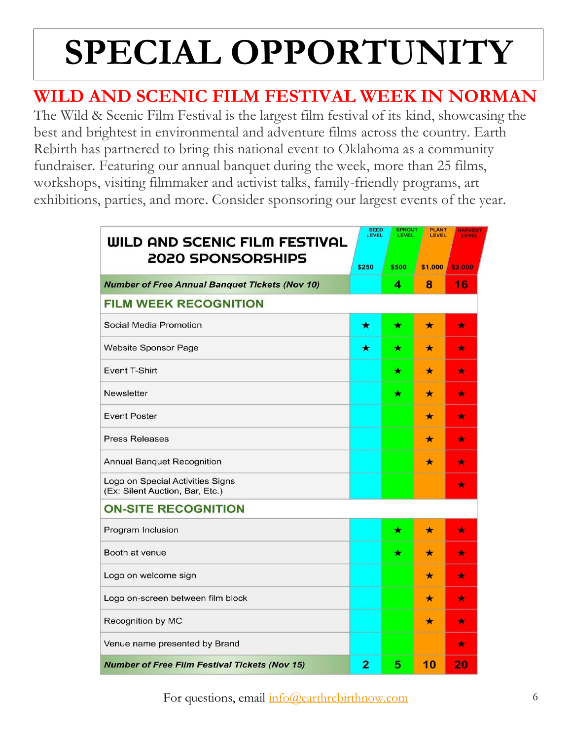# **SPECIAL OPPORTUNITY**

## **WILD AND SCENIC FILM FESTIVAL WEEK IN NORMAN**

The Wild & Scenic Film Festival is the largest film festival of its kind, showcasing the best and brightest in environmental and adventure films across the country. Earth Rebirth has partnered to bring this national event to Oklahoma as a community fundraiser. Featuring our annual banquet during the week, more than 25 films, workshops, visiting filmmaker and activist talks, family-friendly programs, art exhibitions, parties, and more. Consider sponsoring our largest events of the year.

| WILD AND SCENIC FILM FESTIVAL<br><b>2020 SPONSORSHIPS</b>           | <b>SEED</b><br>LEVEL | <b>SPROUT</b><br>LEVEL | <b>PLANT</b><br>LEVEL | <b>HARVES</b><br><b>LEVEL</b> |
|---------------------------------------------------------------------|----------------------|------------------------|-----------------------|-------------------------------|
|                                                                     | \$250                | \$500                  | \$1,000               | \$2,000                       |
| <b>Number of Free Annual Banquet Tickets (Nov 10)</b>               |                      | 4                      | 8                     | 16                            |
| <b>FILM WEEK RECOGNITION</b>                                        |                      |                        |                       |                               |
| Social Media Promotion                                              | ★                    | ★                      | $\star$               | ÷                             |
| <b>Website Sponsor Page</b>                                         | ★                    | ★                      | $\star$               | *                             |
| <b>Event T-Shirt</b>                                                |                      | ★                      | $\star$               | $\star$                       |
| <b>Newsletter</b>                                                   |                      | ★                      | $\star$               | $\color{red}$                 |
| <b>Event Poster</b>                                                 |                      |                        | $\star$               | ۰                             |
| <b>Press Releases</b>                                               |                      |                        | ★                     | ×                             |
| Annual Banquet Recognition                                          |                      |                        | $\star$               | ۰                             |
| Logo on Special Activities Signs<br>(Ex: Silent Auction, Bar, Etc.) |                      |                        |                       | $\bullet$                     |
| <b>ON-SITE RECOGNITION</b>                                          |                      |                        |                       |                               |
| Program Inclusion                                                   |                      | $\color{red}$          | $\star$               | $\color{red}^{\star}$         |
| Booth at venue                                                      |                      | ★                      | ★                     | ×                             |
| Logo on welcome sign                                                |                      |                        | $\star$               | ٠                             |
| Logo on-screen between film block                                   |                      |                        | $\star$               | $\star$                       |
| Recognition by MC                                                   |                      |                        | $\star$               | ٠                             |
| Venue name presented by Brand                                       |                      |                        |                       | $\color{red}$                 |
| <b>Number of Free Film Festival Tickets (Nov 15)</b>                | 2                    | 5                      | 10                    | 20                            |

For questions, email  $info@earthrebirthnow.com$  6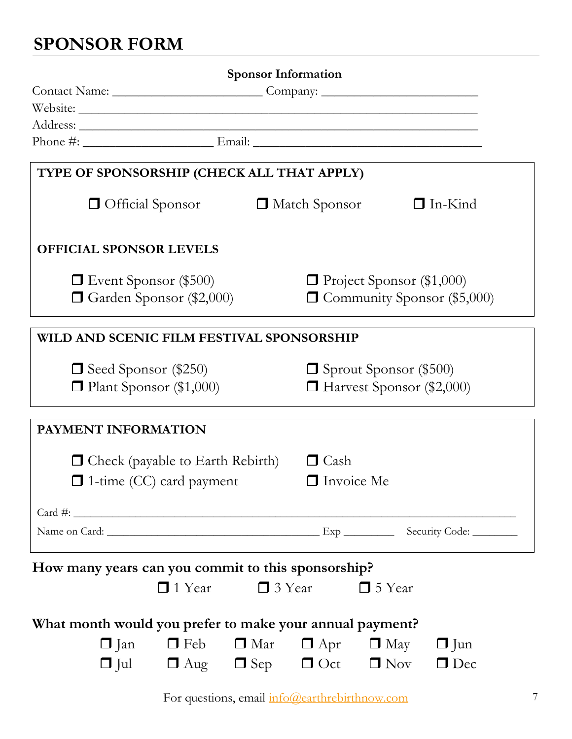# **SPONSOR FORM**

| $\Box$ Community Sponsor (\$5,000) |
|------------------------------------|

For questions, email [info@earthrebirthnow.com](mailto:info@earthrebirthnow.com) 7